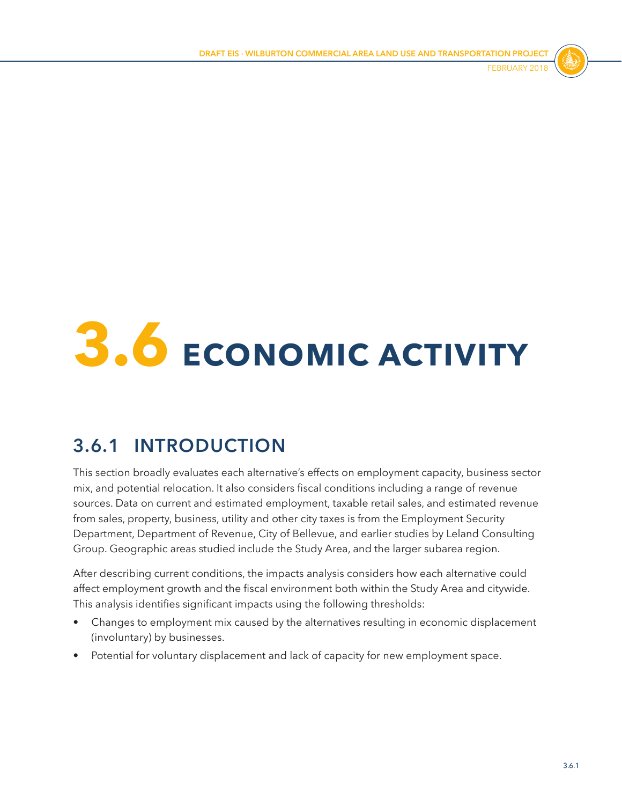

# **3.6 ECONOMIC ACTIVITY**

# **3.6.1 INTRODUCTION**

This section broadly evaluates each alternative's effects on employment capacity, business sector mix, and potential relocation. It also considers fiscal conditions including a range of revenue sources. Data on current and estimated employment, taxable retail sales, and estimated revenue from sales, property, business, utility and other city taxes is from the Employment Security Department, Department of Revenue, City of Bellevue, and earlier studies by Leland Consulting Group. Geographic areas studied include the Study Area, and the larger subarea region.

After describing current conditions, the impacts analysis considers how each alternative could affect employment growth and the fiscal environment both within the Study Area and citywide. This analysis identifies significant impacts using the following thresholds:

- Changes to employment mix caused by the alternatives resulting in economic displacement (involuntary) by businesses.
- Potential for voluntary displacement and lack of capacity for new employment space.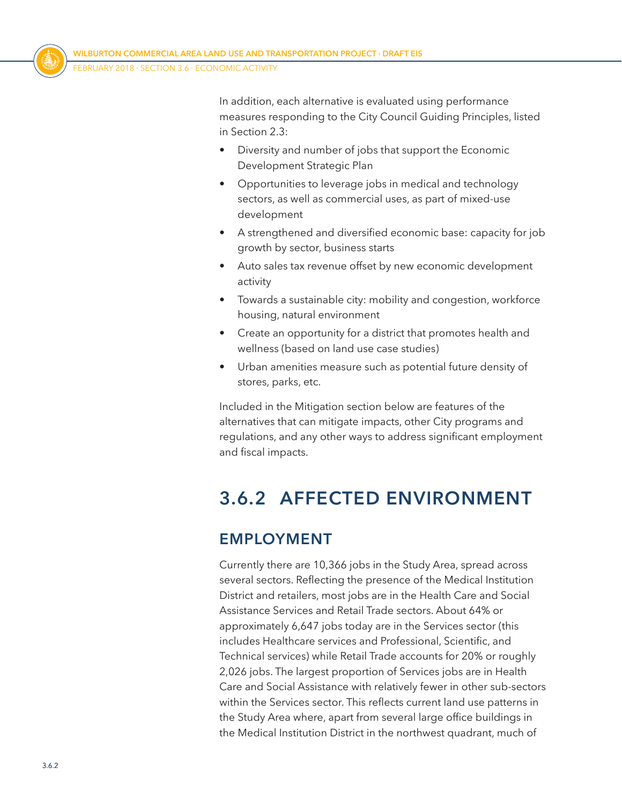

In addition, each alternative is evaluated using performance measures responding to the City Council Guiding Principles, listed in Section 2.3:

- Diversity and number of jobs that support the Economic Development Strategic Plan
- Opportunities to leverage jobs in medical and technology sectors, as well as commercial uses, as part of mixed-use development
- A strengthened and diversified economic base: capacity for job growth by sector, business starts
- Auto sales tax revenue offset by new economic development activity
- Towards a sustainable city: mobility and congestion, workforce housing, natural environment
- Create an opportunity for a district that promotes health and wellness (based on land use case studies)
- Urban amenities measure such as potential future density of stores, parks, etc.

Included in the Mitigation section below are features of the alternatives that can mitigate impacts, other City programs and regulations, and any other ways to address significant employment and fiscal impacts.

# **3.6.2 AFFECTED ENVIRONMENT**

# **EMPLOYMENT**

Currently there are 10,366 jobs in the Study Area, spread across several sectors. Reflecting the presence of the Medical Institution District and retailers, most jobs are in the Health Care and Social Assistance Services and Retail Trade sectors. About 64% or approximately 6,647 jobs today are in the Services sector (this includes Healthcare services and Professional, Scientific, and Technical services) while Retail Trade accounts for 20% or roughly 2,026 jobs. The largest proportion of Services jobs are in Health Care and Social Assistance with relatively fewer in other sub-sectors within the Services sector. This reflects current land use patterns in the Study Area where, apart from several large office buildings in the Medical Institution District in the northwest quadrant, much of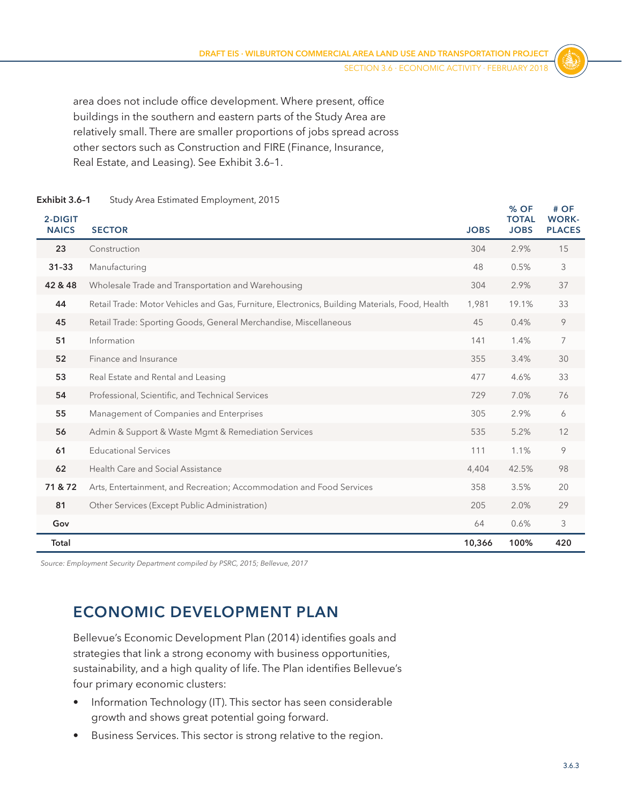<span id="page-2-0"></span>area does not include office development. Where present, office buildings in the southern and eastern parts of the Study Area are relatively small. There are smaller proportions of jobs spread across other sectors such as Construction and FIRE (Finance, Insurance, Real Estate, and Leasing). See [Exhibit 3.6–1](#page-2-0).

| 2-DIGIT<br><b>NAICS</b> | <b>SECTOR</b>                                                                                  | <b>JOBS</b> | % OF<br><b>TOTAL</b><br><b>JOBS</b> | # OF<br><b>WORK-</b><br><b>PLACES</b> |
|-------------------------|------------------------------------------------------------------------------------------------|-------------|-------------------------------------|---------------------------------------|
| 23                      | Construction                                                                                   | 304         | 2.9%                                | 15                                    |
| $31 - 33$               | Manufacturing                                                                                  | 48          | 0.5%                                | 3                                     |
| 42 & 48                 | Wholesale Trade and Transportation and Warehousing                                             | 304         | 2.9%                                | 37                                    |
| 44                      | Retail Trade: Motor Vehicles and Gas, Furniture, Electronics, Building Materials, Food, Health | 1,981       | 19.1%                               | 33                                    |
| 45                      | Retail Trade: Sporting Goods, General Merchandise, Miscellaneous                               | 45          | 0.4%                                | 9                                     |
| 51                      | Information                                                                                    | 141         | 1.4%                                | 7                                     |
| 52                      | Finance and Insurance                                                                          | 355         | 3.4%                                | 30                                    |
| 53                      | Real Estate and Rental and Leasing                                                             | 477         | 4.6%                                | 33                                    |
| 54                      | Professional, Scientific, and Technical Services                                               | 729         | 7.0%                                | 76                                    |
| 55                      | Management of Companies and Enterprises                                                        | 305         | 2.9%                                | 6                                     |
| 56                      | Admin & Support & Waste Mgmt & Remediation Services                                            | 535         | 5.2%                                | 12                                    |
| 61                      | <b>Educational Services</b>                                                                    | 111         | 1.1%                                | 9                                     |
| 62                      | Health Care and Social Assistance                                                              | 4,404       | 42.5%                               | 98                                    |
| 71 & 72                 | Arts, Entertainment, and Recreation; Accommodation and Food Services                           | 358         | 3.5%                                | 20                                    |
| 81                      | Other Services (Except Public Administration)                                                  | 205         | 2.0%                                | 29                                    |
| Gov                     |                                                                                                | 64          | 0.6%                                | 3                                     |
| Total                   |                                                                                                | 10,366      | 100%                                | 420                                   |

#### **Exhibit 3.6–1** Study Area Estimated Employment, 2015

*Source: Employment Security Department compiled by PSRC, 2015; Bellevue, 2017*

# **ECONOMIC DEVELOPMENT PLAN**

Bellevue's Economic Development Plan (2014) identifies goals and strategies that link a strong economy with business opportunities, sustainability, and a high quality of life. The Plan identifies Bellevue's four primary economic clusters:

- Information Technology (IT). This sector has seen considerable growth and shows great potential going forward.
- Business Services. This sector is strong relative to the region.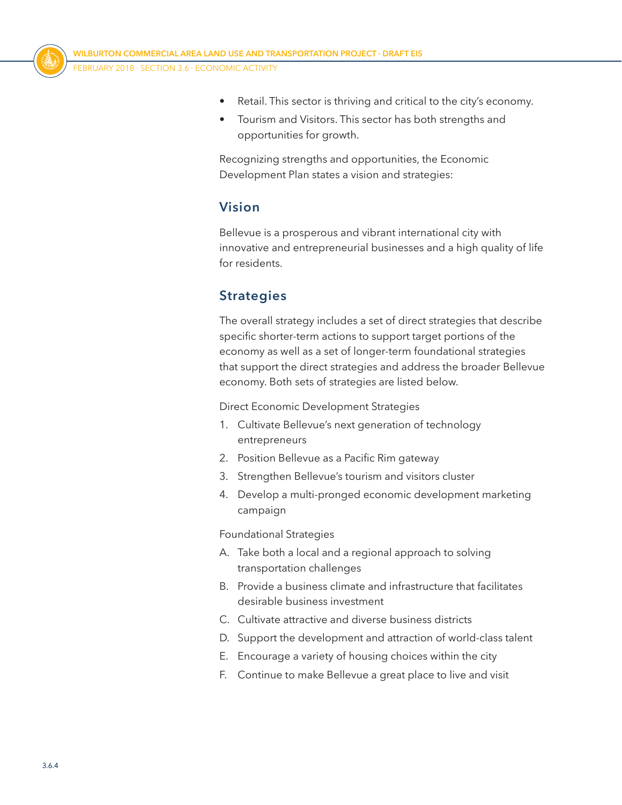

- Retail. This sector is thriving and critical to the city's economy.
- Tourism and Visitors. This sector has both strengths and opportunities for growth.

Recognizing strengths and opportunities, the Economic Development Plan states a vision and strategies:

# **Vision**

Bellevue is a prosperous and vibrant international city with innovative and entrepreneurial businesses and a high quality of life for residents.

# **Strategies**

The overall strategy includes a set of direct strategies that describe specific shorter-term actions to support target portions of the economy as well as a set of longer-term foundational strategies that support the direct strategies and address the broader Bellevue economy. Both sets of strategies are listed below.

Direct Economic Development Strategies

- 1. Cultivate Bellevue's next generation of technology entrepreneurs
- 2. Position Bellevue as a Pacific Rim gateway
- 3. Strengthen Bellevue's tourism and visitors cluster
- 4. Develop a multi-pronged economic development marketing campaign

Foundational Strategies

- A. Take both a local and a regional approach to solving transportation challenges
- B. Provide a business climate and infrastructure that facilitates desirable business investment
- C. Cultivate attractive and diverse business districts
- D. Support the development and attraction of world-class talent
- E. Encourage a variety of housing choices within the city
- F. Continue to make Bellevue a great place to live and visit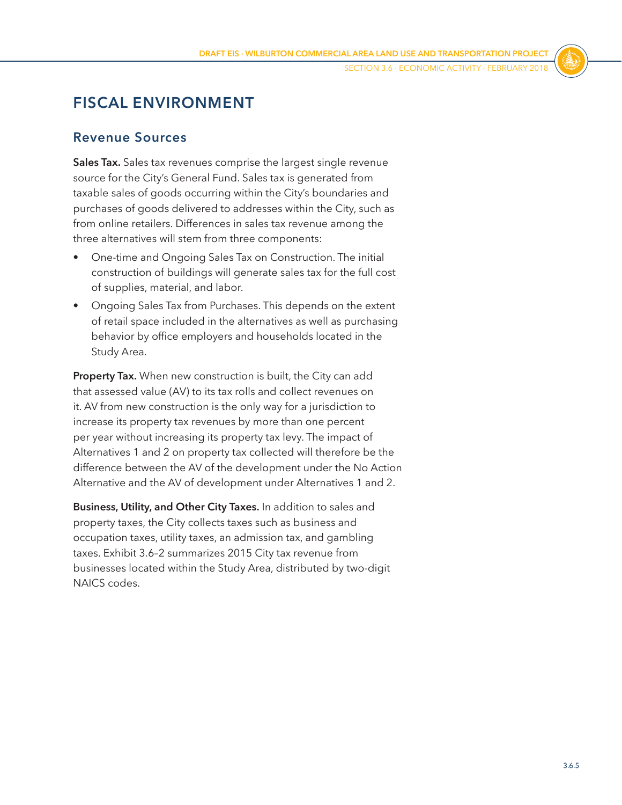# **FISCAL ENVIRONMENT**

## **Revenue Sources**

**Sales Tax.** Sales tax revenues comprise the largest single revenue source for the City's General Fund. Sales tax is generated from taxable sales of goods occurring within the City's boundaries and purchases of goods delivered to addresses within the City, such as from online retailers. Differences in sales tax revenue among the three alternatives will stem from three components:

- One-time and Ongoing Sales Tax on Construction. The initial construction of buildings will generate sales tax for the full cost of supplies, material, and labor.
- Ongoing Sales Tax from Purchases. This depends on the extent of retail space included in the alternatives as well as purchasing behavior by office employers and households located in the Study Area.

**Property Tax.** When new construction is built, the City can add that assessed value (AV) to its tax rolls and collect revenues on it. AV from new construction is the only way for a jurisdiction to increase its property tax revenues by more than one percent per year without increasing its property tax levy. The impact of Alternatives 1 and 2 on property tax collected will therefore be the difference between the AV of the development under the No Action Alternative and the AV of development under Alternatives 1 and 2.

**Business, Utility, and Other City Taxes.** In addition to sales and property taxes, the City collects taxes such as business and occupation taxes, utility taxes, an admission tax, and gambling taxes. [Exhibit 3.6–2](#page-5-0) summarizes 2015 City tax revenue from businesses located within the Study Area, distributed by two-digit NAICS codes.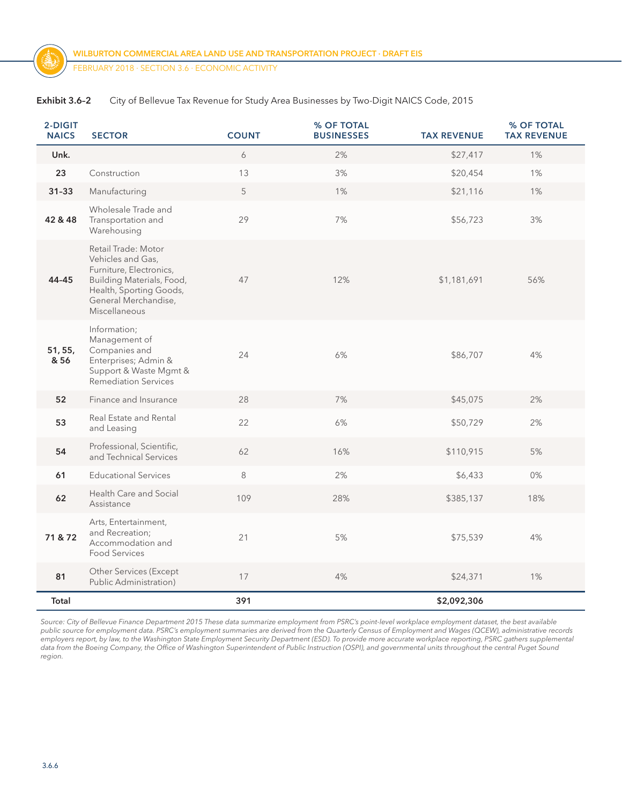| 2-DIGIT<br><b>NAICS</b> | <b>SECTOR</b>                                                                                                                                                        | <b>COUNT</b> | % OF TOTAL<br><b>BUSINESSES</b> | <b>TAX REVENUE</b> | % OF TOTAL<br><b>TAX REVENUE</b> |
|-------------------------|----------------------------------------------------------------------------------------------------------------------------------------------------------------------|--------------|---------------------------------|--------------------|----------------------------------|
| Unk.                    |                                                                                                                                                                      | 6            | 2%                              | \$27,417           | 1%                               |
| 23                      | Construction                                                                                                                                                         | 13           | 3%                              | \$20,454           | 1%                               |
| $31 - 33$               | Manufacturing                                                                                                                                                        | 5            | 1%                              | \$21,116           | 1%                               |
| 42 & 48                 | Wholesale Trade and<br>Transportation and<br>Warehousing                                                                                                             | 29           | 7%                              | \$56,723           | 3%                               |
| 44-45                   | Retail Trade: Motor<br>Vehicles and Gas,<br>Furniture, Electronics,<br>Building Materials, Food,<br>Health, Sporting Goods,<br>General Merchandise,<br>Miscellaneous | 47           | 12%                             | \$1,181,691        | 56%                              |
| 51, 55,<br>& 56         | Information;<br>Management of<br>Companies and<br>Enterprises; Admin &<br>Support & Waste Mgmt &<br><b>Remediation Services</b>                                      | 24           | 6%                              | \$86,707           | 4%                               |
| 52                      | Finance and Insurance                                                                                                                                                | 28           | 7%                              | \$45,075           | 2%                               |
| 53                      | Real Estate and Rental<br>and Leasing                                                                                                                                | 22           | 6%                              | \$50,729           | 2%                               |
| 54                      | Professional, Scientific,<br>and Technical Services                                                                                                                  | 62           | 16%                             | \$110,915          | 5%                               |
| 61                      | <b>Educational Services</b>                                                                                                                                          | $\,8\,$      | 2%                              | \$6,433            | 0%                               |
| 62                      | Health Care and Social<br>Assistance                                                                                                                                 | 109          | 28%                             | \$385,137          | 18%                              |
| 71 & 72                 | Arts, Entertainment,<br>and Recreation;<br>Accommodation and<br>Food Services                                                                                        | 21           | 5%                              | \$75,539           | 4%                               |
| 81                      | Other Services (Except<br>Public Administration)                                                                                                                     | 17           | 4%                              | \$24,371           | 1%                               |
| Total                   |                                                                                                                                                                      | 391          |                                 | \$2,092,306        |                                  |

<span id="page-5-0"></span>

| Exhibit 3.6-2 | City of Bellevue Tax Revenue for Study Area Businesses by Two-Digit NAICS Code, 2015 |  |  |  |
|---------------|--------------------------------------------------------------------------------------|--|--|--|
|---------------|--------------------------------------------------------------------------------------|--|--|--|

*Source: City of Bellevue Finance Department 2015 These data summarize employment from PSRC's point-level workplace employment dataset, the best available public source for employment data. PSRC's employment summaries are derived from the Quarterly Census of Employment and Wages (QCEW), administrative records employers report, by law, to the Washington State Employment Security Department (ESD). To provide more accurate workplace reporting, PSRC gathers supplemental data from the Boeing Company, the Office of Washington Superintendent of Public Instruction (OSPI), and governmental units throughout the central Puget Sound region.*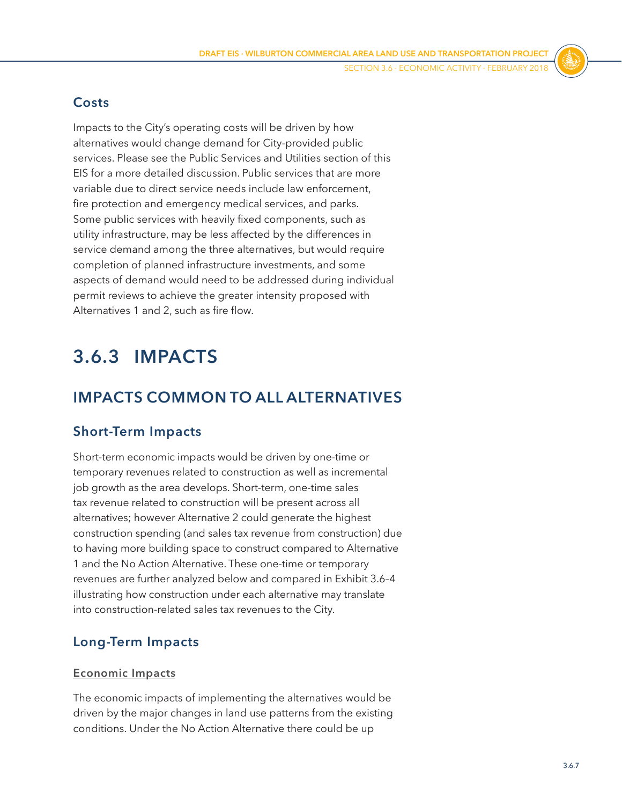# **Costs**

Impacts to the City's operating costs will be driven by how alternatives would change demand for City-provided public services. Please see the Public Services and Utilities section of this EIS for a more detailed discussion. Public services that are more variable due to direct service needs include law enforcement, fire protection and emergency medical services, and parks. Some public services with heavily fixed components, such as utility infrastructure, may be less affected by the differences in service demand among the three alternatives, but would require completion of planned infrastructure investments, and some aspects of demand would need to be addressed during individual permit reviews to achieve the greater intensity proposed with Alternatives 1 and 2, such as fire flow.

# **3.6.3 IMPACTS**

# **IMPACTS COMMON TO ALL ALTERNATIVES**

# **Short-Term Impacts**

Short-term economic impacts would be driven by one-time or temporary revenues related to construction as well as incremental job growth as the area develops. Short-term, one-time sales tax revenue related to construction will be present across all alternatives; however Alternative 2 could generate the highest construction spending (and sales tax revenue from construction) due to having more building space to construct compared to Alternative 1 and the No Action Alternative. These one-time or temporary revenues are further analyzed below and compared in [Exhibit 3.6–4](#page-12-0) illustrating how construction under each alternative may translate into construction-related sales tax revenues to the City.

# **Long-Term Impacts**

#### **Economic Impacts**

The economic impacts of implementing the alternatives would be driven by the major changes in land use patterns from the existing conditions. Under the No Action Alternative there could be up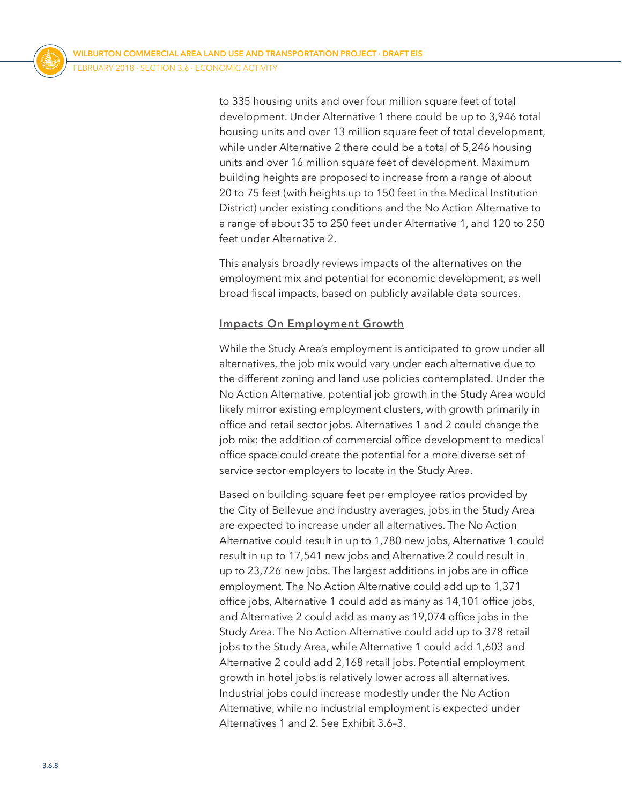to 335 housing units and over four million square feet of total development. Under Alternative 1 there could be up to 3,946 total housing units and over 13 million square feet of total development, while under Alternative 2 there could be a total of 5,246 housing units and over 16 million square feet of development. Maximum building heights are proposed to increase from a range of about 20 to 75 feet (with heights up to 150 feet in the Medical Institution District) under existing conditions and the No Action Alternative to a range of about 35 to 250 feet under Alternative 1, and 120 to 250 feet under Alternative 2.

This analysis broadly reviews impacts of the alternatives on the employment mix and potential for economic development, as well broad fiscal impacts, based on publicly available data sources.

#### **Impacts On Employment Growth**

While the Study Area's employment is anticipated to grow under all alternatives, the job mix would vary under each alternative due to the different zoning and land use policies contemplated. Under the No Action Alternative, potential job growth in the Study Area would likely mirror existing employment clusters, with growth primarily in office and retail sector jobs. Alternatives 1 and 2 could change the job mix: the addition of commercial office development to medical office space could create the potential for a more diverse set of service sector employers to locate in the Study Area.

Based on building square feet per employee ratios provided by the City of Bellevue and industry averages, jobs in the Study Area are expected to increase under all alternatives. The No Action Alternative could result in up to 1,780 new jobs, Alternative 1 could result in up to 17,541 new jobs and Alternative 2 could result in up to 23,726 new jobs. The largest additions in jobs are in office employment. The No Action Alternative could add up to 1,371 office jobs, Alternative 1 could add as many as 14,101 office jobs, and Alternative 2 could add as many as 19,074 office jobs in the Study Area. The No Action Alternative could add up to 378 retail jobs to the Study Area, while Alternative 1 could add 1,603 and Alternative 2 could add 2,168 retail jobs. Potential employment growth in hotel jobs is relatively lower across all alternatives. Industrial jobs could increase modestly under the No Action Alternative, while no industrial employment is expected under Alternatives 1 and 2. See [Exhibit 3.6–3](#page-8-0).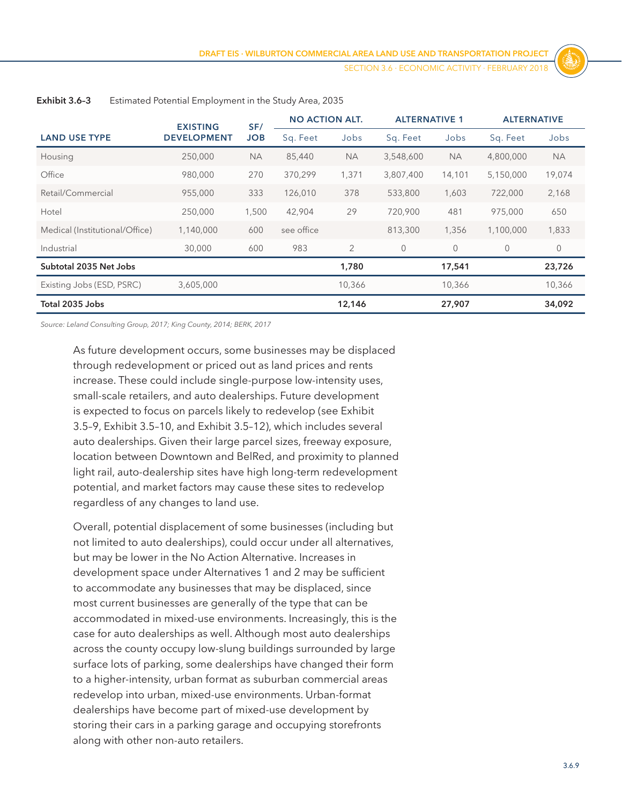SECTION 3.6 ⋅ Economic Activity ⋅ FEBRUARY 2018

|                                | <b>EXISTING</b>    | SF/        | <b>NO ACTION ALT.</b> |                | <b>ALTERNATIVE 1</b> |           | <b>ALTERNATIVE</b> |           |
|--------------------------------|--------------------|------------|-----------------------|----------------|----------------------|-----------|--------------------|-----------|
| <b>LAND USE TYPE</b>           | <b>DEVELOPMENT</b> | <b>JOB</b> | Sq. Feet              | Jobs           | Sq. Feet             | Jobs      | Sq. Feet           | Jobs      |
| Housing                        | 250,000            | <b>NA</b>  | 85,440                | <b>NA</b>      | 3,548,600            | <b>NA</b> | 4,800,000          | <b>NA</b> |
| Office                         | 980,000            | 270        | 370,299               | 1,371          | 3,807,400            | 14,101    | 5,150,000          | 19,074    |
| Retail/Commercial              | 955,000            | 333        | 126,010               | 378            | 533,800              | 1,603     | 722,000            | 2,168     |
| Hotel                          | 250,000            | 1,500      | 42,904                | 29             | 720,900              | 481       | 975,000            | 650       |
| Medical (Institutional/Office) | 1,140,000          | 600        | see office            |                | 813,300              | 1,356     | 1,100,000          | 1,833     |
| Industrial                     | 30,000             | 600        | 983                   | $\overline{2}$ | $\theta$             | $\Omega$  | $\overline{0}$     | $\circ$   |
| Subtotal 2035 Net Jobs         |                    |            |                       | 1,780          |                      | 17,541    |                    | 23,726    |
| Existing Jobs (ESD, PSRC)      | 3,605,000          |            |                       | 10,366         |                      | 10,366    |                    | 10,366    |
| Total 2035 Jobs                |                    |            |                       | 12,146         |                      | 27,907    |                    | 34,092    |

<span id="page-8-0"></span>**Exhibit 3.6–3** Estimated Potential Employment in the Study Area, 2035

*Source: Leland Consulting Group, 2017; King County, 2014; BERK, 2017*

As future development occurs, some businesses may be displaced through redevelopment or priced out as land prices and rents increase. These could include single-purpose low-intensity uses, small-scale retailers, and auto dealerships. Future development is expected to focus on parcels likely to redevelop (see Exhibit 3.5–9, Exhibit 3.5–10, and Exhibit 3.5–12), which includes several auto dealerships. Given their large parcel sizes, freeway exposure, location between Downtown and BelRed, and proximity to planned light rail, auto-dealership sites have high long-term redevelopment potential, and market factors may cause these sites to redevelop regardless of any changes to land use.

Overall, potential displacement of some businesses (including but not limited to auto dealerships), could occur under all alternatives, but may be lower in the No Action Alternative. Increases in development space under Alternatives 1 and 2 may be sufficient to accommodate any businesses that may be displaced, since most current businesses are generally of the type that can be accommodated in mixed-use environments. Increasingly, this is the case for auto dealerships as well. Although most auto dealerships across the county occupy low-slung buildings surrounded by large surface lots of parking, some dealerships have changed their form to a higher-intensity, urban format as suburban commercial areas redevelop into urban, mixed-use environments. Urban-format dealerships have become part of mixed-use development by storing their cars in a parking garage and occupying storefronts along with other non-auto retailers.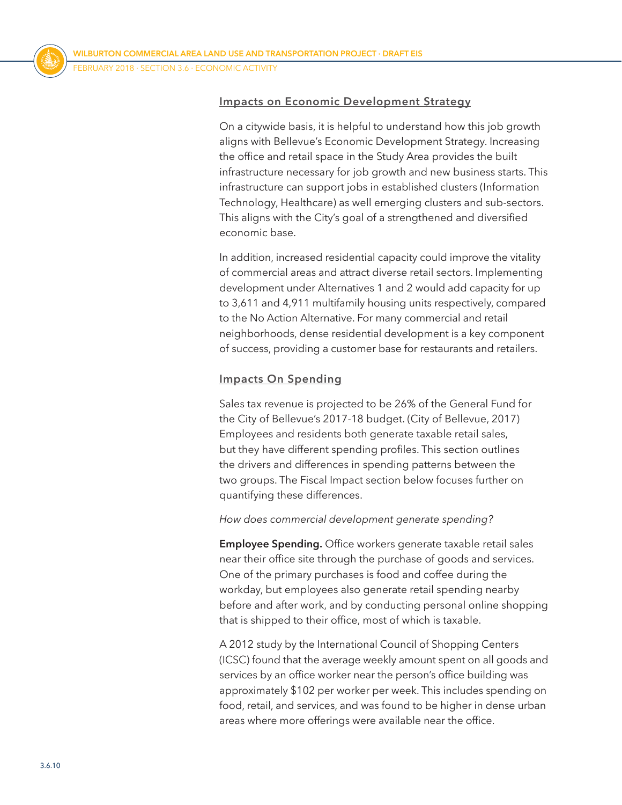#### **Impacts on Economic Development Strategy**

On a citywide basis, it is helpful to understand how this job growth aligns with Bellevue's Economic Development Strategy. Increasing the office and retail space in the Study Area provides the built infrastructure necessary for job growth and new business starts. This infrastructure can support jobs in established clusters (Information Technology, Healthcare) as well emerging clusters and sub-sectors. This aligns with the City's goal of a strengthened and diversified economic base.

In addition, increased residential capacity could improve the vitality of commercial areas and attract diverse retail sectors. Implementing development under Alternatives 1 and 2 would add capacity for up to 3,611 and 4,911 multifamily housing units respectively, compared to the No Action Alternative. For many commercial and retail neighborhoods, dense residential development is a key component of success, providing a customer base for restaurants and retailers.

#### **Impacts On Spending**

Sales tax revenue is projected to be 26% of the General Fund for the City of Bellevue's 2017-18 budget. (City of Bellevue, 2017) Employees and residents both generate taxable retail sales, but they have different spending profiles. This section outlines the drivers and differences in spending patterns between the two groups. The Fiscal Impact section below focuses further on quantifying these differences.

#### *How does commercial development generate spending?*

**Employee Spending.** Office workers generate taxable retail sales near their office site through the purchase of goods and services. One of the primary purchases is food and coffee during the workday, but employees also generate retail spending nearby before and after work, and by conducting personal online shopping that is shipped to their office, most of which is taxable.

A 2012 study by the International Council of Shopping Centers (ICSC) found that the average weekly amount spent on all goods and services by an office worker near the person's office building was approximately \$102 per worker per week. This includes spending on food, retail, and services, and was found to be higher in dense urban areas where more offerings were available near the office.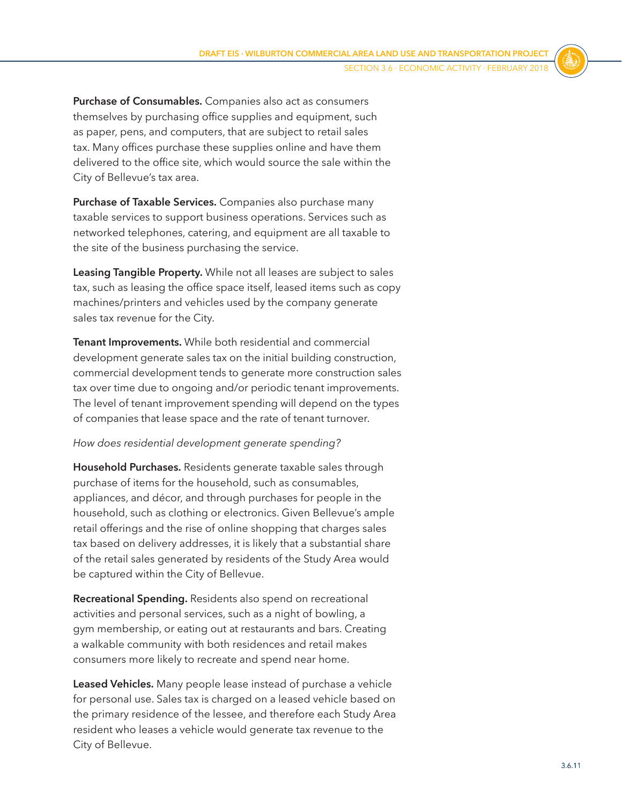**Purchase of Consumables.** Companies also act as consumers themselves by purchasing office supplies and equipment, such as paper, pens, and computers, that are subject to retail sales tax. Many offices purchase these supplies online and have them delivered to the office site, which would source the sale within the City of Bellevue's tax area.

**Purchase of Taxable Services.** Companies also purchase many taxable services to support business operations. Services such as networked telephones, catering, and equipment are all taxable to the site of the business purchasing the service.

**Leasing Tangible Property.** While not all leases are subject to sales tax, such as leasing the office space itself, leased items such as copy machines/printers and vehicles used by the company generate sales tax revenue for the City.

**Tenant Improvements.** While both residential and commercial development generate sales tax on the initial building construction, commercial development tends to generate more construction sales tax over time due to ongoing and/or periodic tenant improvements. The level of tenant improvement spending will depend on the types of companies that lease space and the rate of tenant turnover.

#### *How does residential development generate spending?*

**Household Purchases.** Residents generate taxable sales through purchase of items for the household, such as consumables, appliances, and décor, and through purchases for people in the household, such as clothing or electronics. Given Bellevue's ample retail offerings and the rise of online shopping that charges sales tax based on delivery addresses, it is likely that a substantial share of the retail sales generated by residents of the Study Area would be captured within the City of Bellevue.

**Recreational Spending.** Residents also spend on recreational activities and personal services, such as a night of bowling, a gym membership, or eating out at restaurants and bars. Creating a walkable community with both residences and retail makes consumers more likely to recreate and spend near home.

**Leased Vehicles.** Many people lease instead of purchase a vehicle for personal use. Sales tax is charged on a leased vehicle based on the primary residence of the lessee, and therefore each Study Area resident who leases a vehicle would generate tax revenue to the City of Bellevue.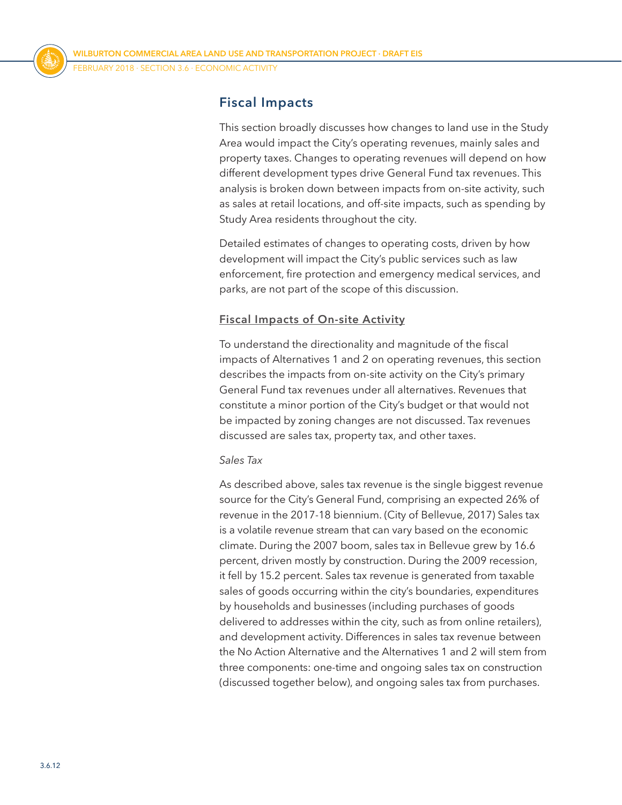# **Fiscal Impacts**

This section broadly discusses how changes to land use in the Study Area would impact the City's operating revenues, mainly sales and property taxes. Changes to operating revenues will depend on how different development types drive General Fund tax revenues. This analysis is broken down between impacts from on-site activity, such as sales at retail locations, and off-site impacts, such as spending by Study Area residents throughout the city.

Detailed estimates of changes to operating costs, driven by how development will impact the City's public services such as law enforcement, fire protection and emergency medical services, and parks, are not part of the scope of this discussion.

#### **Fiscal Impacts of On-site Activity**

To understand the directionality and magnitude of the fiscal impacts of Alternatives 1 and 2 on operating revenues, this section describes the impacts from on-site activity on the City's primary General Fund tax revenues under all alternatives. Revenues that constitute a minor portion of the City's budget or that would not be impacted by zoning changes are not discussed. Tax revenues discussed are sales tax, property tax, and other taxes.

#### *Sales Tax*

As described above, sales tax revenue is the single biggest revenue source for the City's General Fund, comprising an expected 26% of revenue in the 2017-18 biennium. (City of Bellevue, 2017) Sales tax is a volatile revenue stream that can vary based on the economic climate. During the 2007 boom, sales tax in Bellevue grew by 16.6 percent, driven mostly by construction. During the 2009 recession, it fell by 15.2 percent. Sales tax revenue is generated from taxable sales of goods occurring within the city's boundaries, expenditures by households and businesses (including purchases of goods delivered to addresses within the city, such as from online retailers), and development activity. Differences in sales tax revenue between the No Action Alternative and the Alternatives 1 and 2 will stem from three components: one-time and ongoing sales tax on construction (discussed together below), and ongoing sales tax from purchases.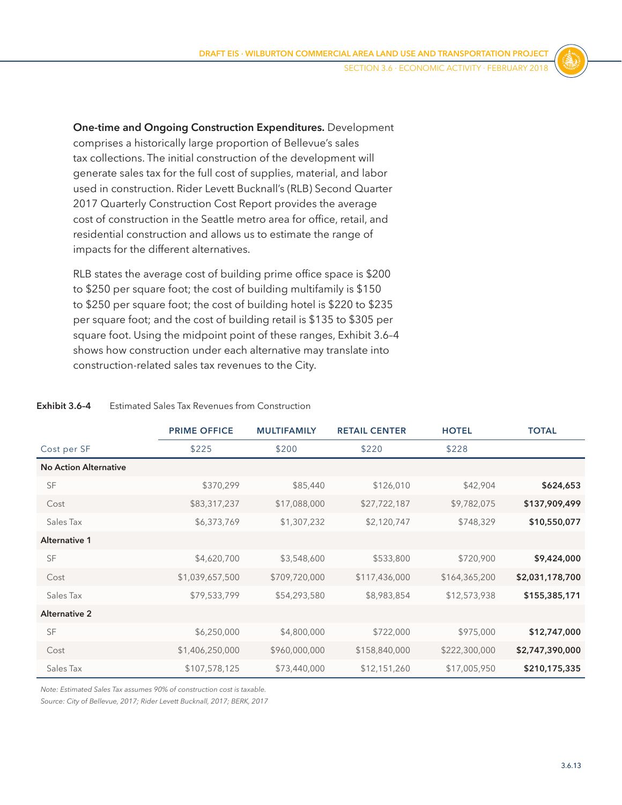**One-time and Ongoing Construction Expenditures.** Development comprises a historically large proportion of Bellevue's sales tax collections. The initial construction of the development will generate sales tax for the full cost of supplies, material, and labor used in construction. Rider Levett Bucknall's (RLB) Second Quarter 2017 Quarterly Construction Cost Report provides the average cost of construction in the Seattle metro area for office, retail, and residential construction and allows us to estimate the range of impacts for the different alternatives.

RLB states the average cost of building prime office space is \$200 to \$250 per square foot; the cost of building multifamily is \$150 to \$250 per square foot; the cost of building hotel is \$220 to \$235 per square foot; and the cost of building retail is \$135 to \$305 per square foot. Using the midpoint point of these ranges, [Exhibit 3.6–4](#page-12-0) shows how construction under each alternative may translate into construction-related sales tax revenues to the City.

#### <span id="page-12-0"></span>**Exhibit 3.6-4** Estimated Sales Tax Revenues from Construction

|                              | <b>PRIME OFFICE</b> | <b>MULTIFAMILY</b> | <b>RETAIL CENTER</b> | <b>HOTEL</b>  | <b>TOTAL</b>    |
|------------------------------|---------------------|--------------------|----------------------|---------------|-----------------|
| Cost per SF                  | \$225               | \$200              | \$220                | \$228         |                 |
| <b>No Action Alternative</b> |                     |                    |                      |               |                 |
| <b>SF</b>                    | \$370,299           | \$85,440           | \$126,010            | \$42,904      | \$624,653       |
| Cost                         | \$83,317,237        | \$17,088,000       | \$27,722,187         | \$9,782,075   | \$137,909,499   |
| Sales Tax                    | \$6,373,769         | \$1,307,232        | \$2,120,747          | \$748,329     | \$10,550,077    |
| <b>Alternative 1</b>         |                     |                    |                      |               |                 |
| <b>SF</b>                    | \$4,620,700         | \$3,548,600        | \$533,800            | \$720,900     | \$9,424,000     |
| Cost                         | \$1,039,657,500     | \$709,720,000      | \$117,436,000        | \$164,365,200 | \$2,031,178,700 |
| Sales Tax                    | \$79,533,799        | \$54,293,580       | \$8,983,854          | \$12,573,938  | \$155,385,171   |
| <b>Alternative 2</b>         |                     |                    |                      |               |                 |
| <b>SF</b>                    | \$6,250,000         | \$4,800,000        | \$722,000            | \$975,000     | \$12,747,000    |
| Cost                         | \$1,406,250,000     | \$960,000,000      | \$158,840,000        | \$222,300,000 | \$2,747,390,000 |
| Sales Tax                    | \$107,578,125       | \$73,440,000       | \$12,151,260         | \$17,005,950  | \$210,175,335   |

*Note: Estimated Sales Tax assumes 90% of construction cost is taxable.*

*Source: City of Bellevue, 2017; Rider Levett Bucknall, 2017; BERK, 2017*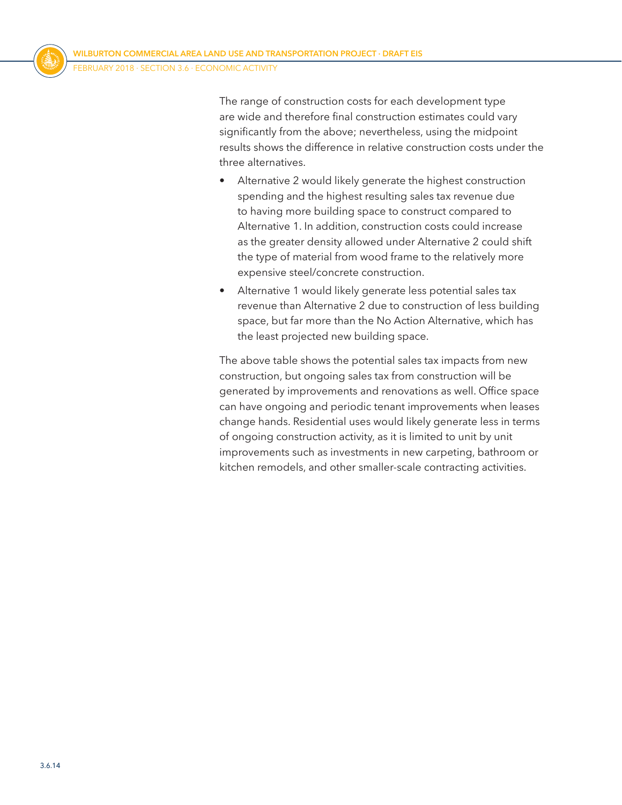The range of construction costs for each development type are wide and therefore final construction estimates could vary significantly from the above; nevertheless, using the midpoint results shows the difference in relative construction costs under the three alternatives.

- Alternative 2 would likely generate the highest construction spending and the highest resulting sales tax revenue due to having more building space to construct compared to Alternative 1. In addition, construction costs could increase as the greater density allowed under Alternative 2 could shift the type of material from wood frame to the relatively more expensive steel/concrete construction.
- Alternative 1 would likely generate less potential sales tax revenue than Alternative 2 due to construction of less building space, but far more than the No Action Alternative, which has the least projected new building space.

The above table shows the potential sales tax impacts from new construction, but ongoing sales tax from construction will be generated by improvements and renovations as well. Office space can have ongoing and periodic tenant improvements when leases change hands. Residential uses would likely generate less in terms of ongoing construction activity, as it is limited to unit by unit improvements such as investments in new carpeting, bathroom or kitchen remodels, and other smaller-scale contracting activities.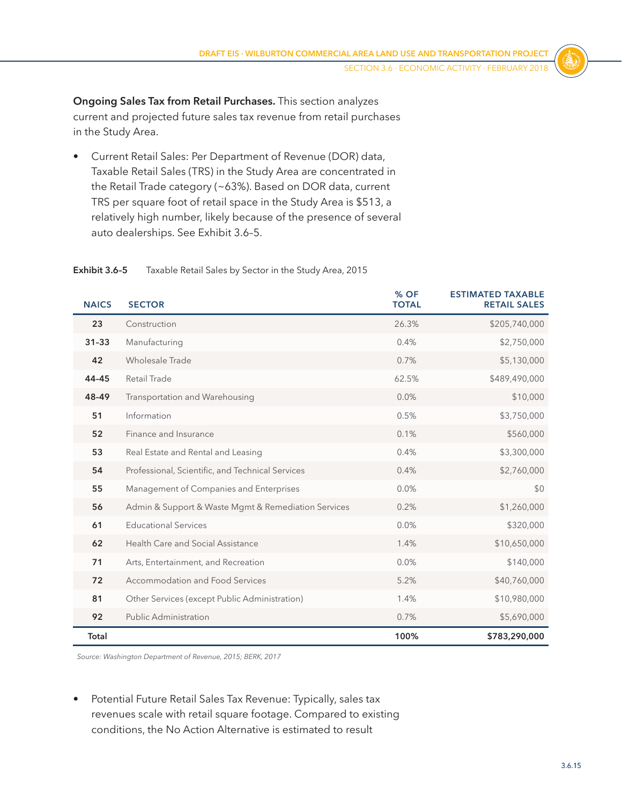**Ongoing Sales Tax from Retail Purchases.** This section analyzes current and projected future sales tax revenue from retail purchases in the Study Area.

• Current Retail Sales: Per Department of Revenue (DOR) data, Taxable Retail Sales (TRS) in the Study Area are concentrated in the Retail Trade category (~63%). Based on DOR data, current TRS per square foot of retail space in the Study Area is \$513, a relatively high number, likely because of the presence of several auto dealerships. See [Exhibit 3.6–5.](#page-14-0)

| <b>NAICS</b> | <b>SECTOR</b>                                       | % OF<br><b>TOTAL</b> | <b>ESTIMATED TAXABLE</b><br><b>RETAIL SALES</b> |
|--------------|-----------------------------------------------------|----------------------|-------------------------------------------------|
| 23           | Construction                                        | 26.3%                | \$205,740,000                                   |
| $31 - 33$    | Manufacturing                                       | 0.4%                 | \$2,750,000                                     |
| 42           | Wholesale Trade                                     | 0.7%                 | \$5,130,000                                     |
| 44-45        | Retail Trade                                        | 62.5%                | \$489,490,000                                   |
| 48-49        | Transportation and Warehousing                      | 0.0%                 | \$10,000                                        |
| 51           | Information                                         | 0.5%                 | \$3,750,000                                     |
| 52           | Finance and Insurance                               | 0.1%                 | \$560,000                                       |
| 53           | Real Estate and Rental and Leasing                  | 0.4%                 | \$3,300,000                                     |
| 54           | Professional, Scientific, and Technical Services    | 0.4%                 | \$2,760,000                                     |
| 55           | Management of Companies and Enterprises             | 0.0%                 | \$0                                             |
| 56           | Admin & Support & Waste Mgmt & Remediation Services | 0.2%                 | \$1,260,000                                     |
| 61           | <b>Educational Services</b>                         | 0.0%                 | \$320,000                                       |
| 62           | Health Care and Social Assistance                   | 1.4%                 | \$10,650,000                                    |
| 71           | Arts, Entertainment, and Recreation                 | 0.0%                 | \$140,000                                       |
| 72           | Accommodation and Food Services                     | 5.2%                 | \$40,760,000                                    |
| 81           | Other Services (except Public Administration)       | 1.4%                 | \$10,980,000                                    |
| 92           | <b>Public Administration</b>                        | 0.7%                 | \$5,690,000                                     |
| Total        |                                                     | 100%                 | \$783,290,000                                   |

#### <span id="page-14-0"></span>**Exhibit 3.6–5** Taxable Retail Sales by Sector in the Study Area, 2015

*Source: Washington Department of Revenue, 2015; BERK, 2017*

• Potential Future Retail Sales Tax Revenue: Typically, sales tax revenues scale with retail square footage. Compared to existing conditions, the No Action Alternative is estimated to result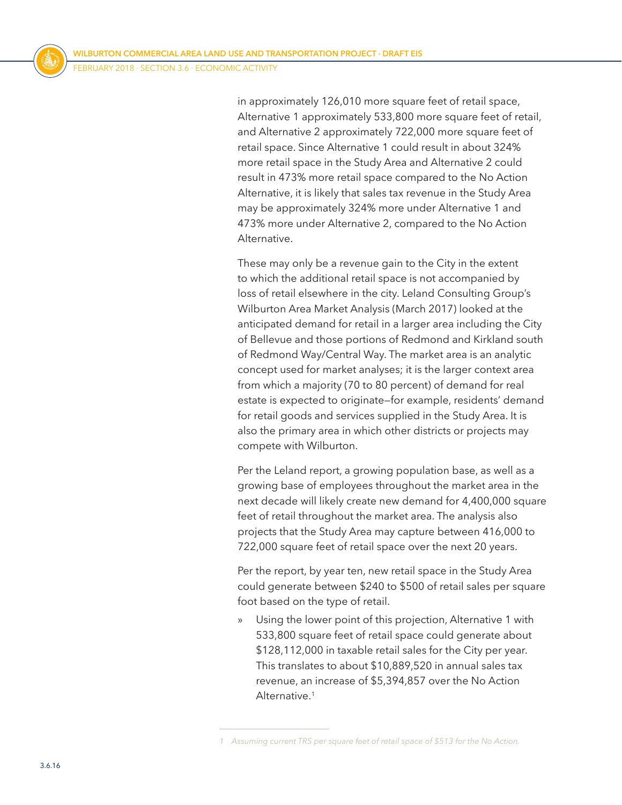in approximately 126,010 more square feet of retail space, Alternative 1 approximately 533,800 more square feet of retail, and Alternative 2 approximately 722,000 more square feet of retail space. Since Alternative 1 could result in about 324% more retail space in the Study Area and Alternative 2 could result in 473% more retail space compared to the No Action Alternative, it is likely that sales tax revenue in the Study Area may be approximately 324% more under Alternative 1 and 473% more under Alternative 2, compared to the No Action Alternative.

These may only be a revenue gain to the City in the extent to which the additional retail space is not accompanied by loss of retail elsewhere in the city. Leland Consulting Group's Wilburton Area Market Analysis (March 2017) looked at the anticipated demand for retail in a larger area including the City of Bellevue and those portions of Redmond and Kirkland south of Redmond Way/Central Way. The market area is an analytic concept used for market analyses; it is the larger context area from which a majority (70 to 80 percent) of demand for real estate is expected to originate—for example, residents' demand for retail goods and services supplied in the Study Area. It is also the primary area in which other districts or projects may compete with Wilburton.

Per the Leland report, a growing population base, as well as a growing base of employees throughout the market area in the next decade will likely create new demand for 4,400,000 square feet of retail throughout the market area. The analysis also projects that the Study Area may capture between 416,000 to 722,000 square feet of retail space over the next 20 years.

Per the report, by year ten, new retail space in the Study Area could generate between \$240 to \$500 of retail sales per square foot based on the type of retail.

» Using the lower point of this projection, Alternative 1 with 533,800 square feet of retail space could generate about \$128,112,000 in taxable retail sales for the City per year. This translates to about \$10,889,520 in annual sales tax revenue, an increase of \$5,394,857 over the No Action Alternative.<sup>1</sup>

*<sup>1</sup> Assuming current TRS per square feet of retail space of \$513 for the No Action.*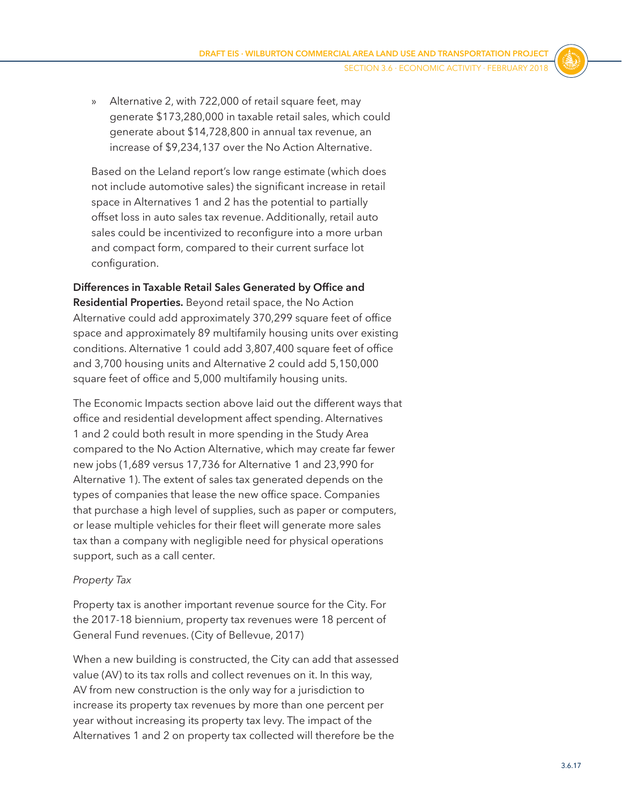» Alternative 2, with 722,000 of retail square feet, may generate \$173,280,000 in taxable retail sales, which could generate about \$14,728,800 in annual tax revenue, an increase of \$9,234,137 over the No Action Alternative.

Based on the Leland report's low range estimate (which does not include automotive sales) the significant increase in retail space in Alternatives 1 and 2 has the potential to partially offset loss in auto sales tax revenue. Additionally, retail auto sales could be incentivized to reconfigure into a more urban and compact form, compared to their current surface lot configuration.

**Differences in Taxable Retail Sales Generated by Office and Residential Properties.** Beyond retail space, the No Action Alternative could add approximately 370,299 square feet of office space and approximately 89 multifamily housing units over existing conditions. Alternative 1 could add 3,807,400 square feet of office and 3,700 housing units and Alternative 2 could add 5,150,000 square feet of office and 5,000 multifamily housing units.

The Economic Impacts section above laid out the different ways that office and residential development affect spending. Alternatives 1 and 2 could both result in more spending in the Study Area compared to the No Action Alternative, which may create far fewer new jobs (1,689 versus 17,736 for Alternative 1 and 23,990 for Alternative 1). The extent of sales tax generated depends on the types of companies that lease the new office space. Companies that purchase a high level of supplies, such as paper or computers, or lease multiple vehicles for their fleet will generate more sales tax than a company with negligible need for physical operations support, such as a call center.

#### *Property Tax*

Property tax is another important revenue source for the City. For the 2017-18 biennium, property tax revenues were 18 percent of General Fund revenues. (City of Bellevue, 2017)

When a new building is constructed, the City can add that assessed value (AV) to its tax rolls and collect revenues on it. In this way, AV from new construction is the only way for a jurisdiction to increase its property tax revenues by more than one percent per year without increasing its property tax levy. The impact of the Alternatives 1 and 2 on property tax collected will therefore be the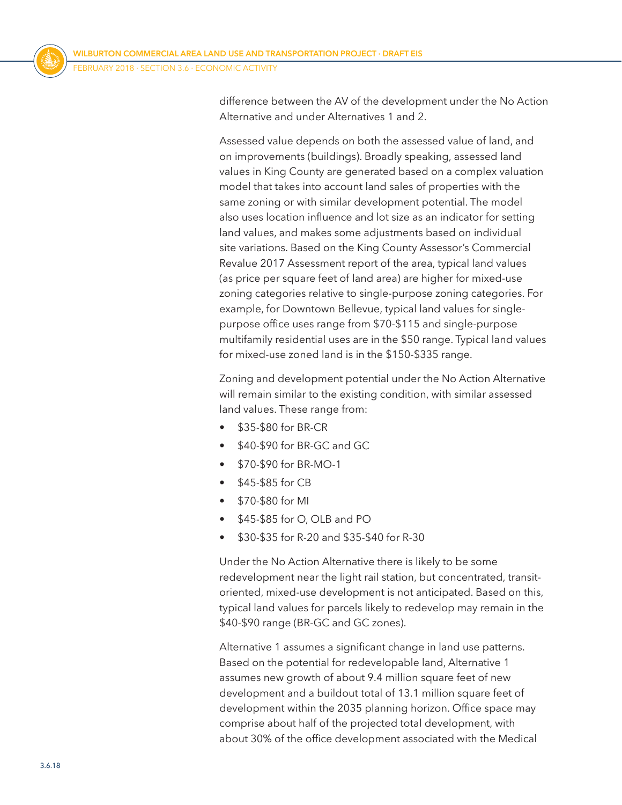difference between the AV of the development under the No Action Alternative and under Alternatives 1 and 2.

Assessed value depends on both the assessed value of land, and on improvements (buildings). Broadly speaking, assessed land values in King County are generated based on a complex valuation model that takes into account land sales of properties with the same zoning or with similar development potential. The model also uses location influence and lot size as an indicator for setting land values, and makes some adjustments based on individual site variations. Based on the King County Assessor's Commercial Revalue 2017 Assessment report of the area, typical land values (as price per square feet of land area) are higher for mixed-use zoning categories relative to single-purpose zoning categories. For example, for Downtown Bellevue, typical land values for singlepurpose office uses range from \$70-\$115 and single-purpose multifamily residential uses are in the \$50 range. Typical land values for mixed-use zoned land is in the \$150-\$335 range.

Zoning and development potential under the No Action Alternative will remain similar to the existing condition, with similar assessed land values. These range from:

- \$35-\$80 for BR-CR
- \$40-\$90 for BR-GC and GC
- \$70-\$90 for BR-MO-1
- \$45-\$85 for CB
- \$70-\$80 for MI
- \$45-\$85 for O, OLB and PO
- \$30-\$35 for R-20 and \$35-\$40 for R-30

Under the No Action Alternative there is likely to be some redevelopment near the light rail station, but concentrated, transitoriented, mixed-use development is not anticipated. Based on this, typical land values for parcels likely to redevelop may remain in the \$40-\$90 range (BR-GC and GC zones).

Alternative 1 assumes a significant change in land use patterns. Based on the potential for redevelopable land, Alternative 1 assumes new growth of about 9.4 million square feet of new development and a buildout total of 13.1 million square feet of development within the 2035 planning horizon. Office space may comprise about half of the projected total development, with about 30% of the office development associated with the Medical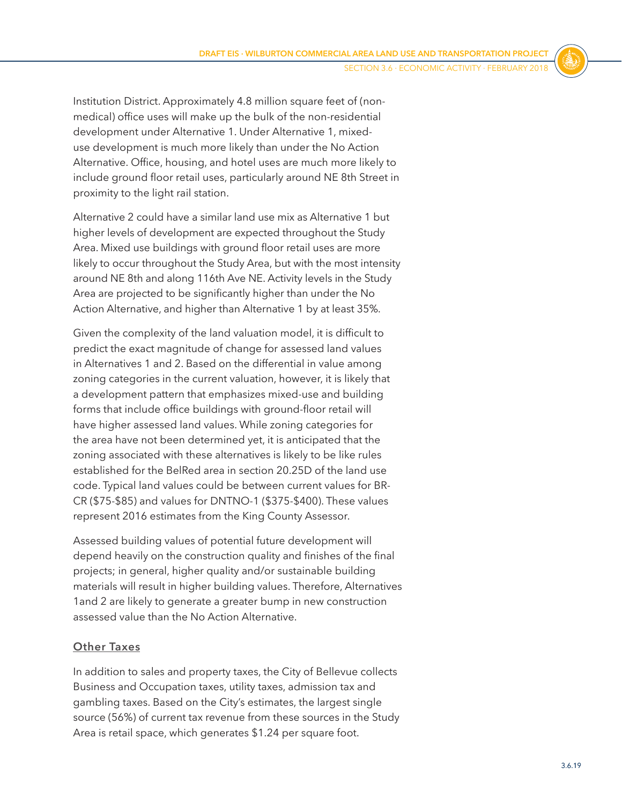Institution District. Approximately 4.8 million square feet of (nonmedical) office uses will make up the bulk of the non-residential development under Alternative 1. Under Alternative 1, mixeduse development is much more likely than under the No Action Alternative. Office, housing, and hotel uses are much more likely to include ground floor retail uses, particularly around NE 8th Street in proximity to the light rail station.

Alternative 2 could have a similar land use mix as Alternative 1 but higher levels of development are expected throughout the Study Area. Mixed use buildings with ground floor retail uses are more likely to occur throughout the Study Area, but with the most intensity around NE 8th and along 116th Ave NE. Activity levels in the Study Area are projected to be significantly higher than under the No Action Alternative, and higher than Alternative 1 by at least 35%.

Given the complexity of the land valuation model, it is difficult to predict the exact magnitude of change for assessed land values in Alternatives 1 and 2. Based on the differential in value among zoning categories in the current valuation, however, it is likely that a development pattern that emphasizes mixed-use and building forms that include office buildings with ground-floor retail will have higher assessed land values. While zoning categories for the area have not been determined yet, it is anticipated that the zoning associated with these alternatives is likely to be like rules established for the BelRed area in section 20.25D of the land use code. Typical land values could be between current values for BR-CR (\$75-\$85) and values for DNTNO-1 (\$375-\$400). These values represent 2016 estimates from the King County Assessor.

Assessed building values of potential future development will depend heavily on the construction quality and finishes of the final projects; in general, higher quality and/or sustainable building materials will result in higher building values. Therefore, Alternatives 1and 2 are likely to generate a greater bump in new construction assessed value than the No Action Alternative.

#### **Other Taxes**

In addition to sales and property taxes, the City of Bellevue collects Business and Occupation taxes, utility taxes, admission tax and gambling taxes. Based on the City's estimates, the largest single source (56%) of current tax revenue from these sources in the Study Area is retail space, which generates \$1.24 per square foot.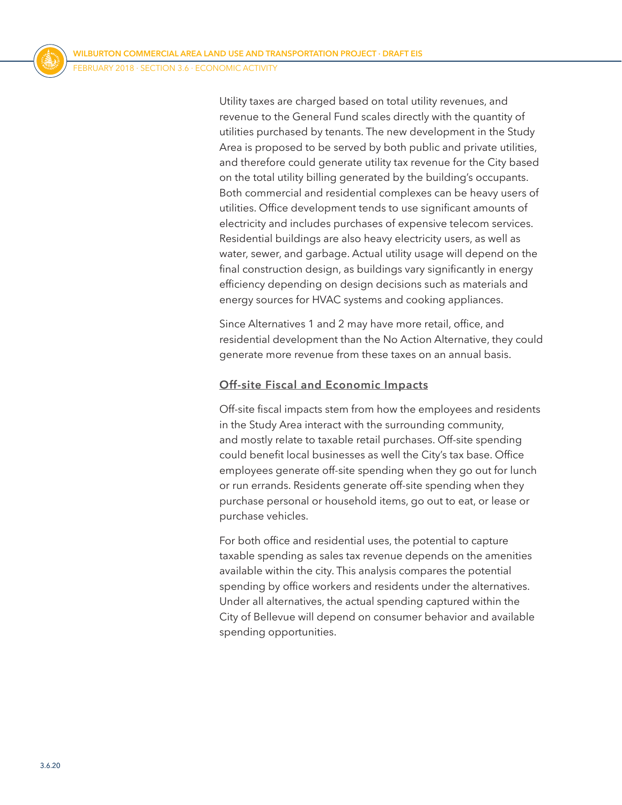Utility taxes are charged based on total utility revenues, and revenue to the General Fund scales directly with the quantity of utilities purchased by tenants. The new development in the Study Area is proposed to be served by both public and private utilities, and therefore could generate utility tax revenue for the City based on the total utility billing generated by the building's occupants. Both commercial and residential complexes can be heavy users of utilities. Office development tends to use significant amounts of electricity and includes purchases of expensive telecom services. Residential buildings are also heavy electricity users, as well as water, sewer, and garbage. Actual utility usage will depend on the final construction design, as buildings vary significantly in energy efficiency depending on design decisions such as materials and energy sources for HVAC systems and cooking appliances.

Since Alternatives 1 and 2 may have more retail, office, and residential development than the No Action Alternative, they could generate more revenue from these taxes on an annual basis.

#### **Off-site Fiscal and Economic Impacts**

Off-site fiscal impacts stem from how the employees and residents in the Study Area interact with the surrounding community, and mostly relate to taxable retail purchases. Off-site spending could benefit local businesses as well the City's tax base. Office employees generate off-site spending when they go out for lunch or run errands. Residents generate off-site spending when they purchase personal or household items, go out to eat, or lease or purchase vehicles.

For both office and residential uses, the potential to capture taxable spending as sales tax revenue depends on the amenities available within the city. This analysis compares the potential spending by office workers and residents under the alternatives. Under all alternatives, the actual spending captured within the City of Bellevue will depend on consumer behavior and available spending opportunities.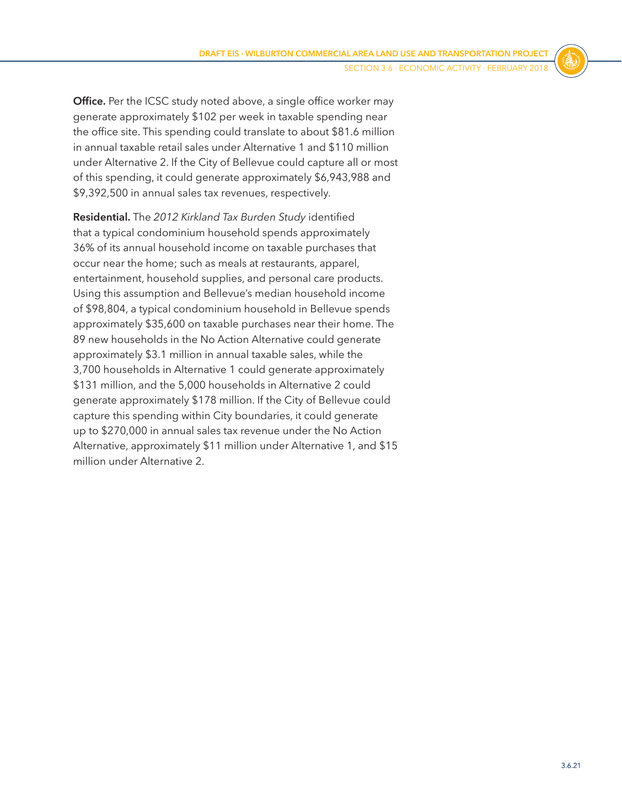**Office.** Per the ICSC study noted above, a single office worker may generate approximately \$102 per week in taxable spending near the office site. This spending could translate to about \$81.6 million in annual taxable retail sales under Alternative 1 and \$110 million under Alternative 2. If the City of Bellevue could capture all or most of this spending, it could generate approximately \$6,943,988 and \$9,392,500 in annual sales tax revenues, respectively.

**Residential.** The *2012 Kirkland Tax Burden Study* identified that a typical condominium household spends approximately 36% of its annual household income on taxable purchases that occur near the home; such as meals at restaurants, apparel, entertainment, household supplies, and personal care products. Using this assumption and Bellevue's median household income of \$98,804, a typical condominium household in Bellevue spends approximately \$35,600 on taxable purchases near their home. The 89 new households in the No Action Alternative could generate approximately \$3.1 million in annual taxable sales, while the 3,700 households in Alternative 1 could generate approximately \$131 million, and the 5,000 households in Alternative 2 could generate approximately \$178 million. If the City of Bellevue could capture this spending within City boundaries, it could generate up to \$270,000 in annual sales tax revenue under the No Action Alternative, approximately \$11 million under Alternative 1, and \$15 million under Alternative 2.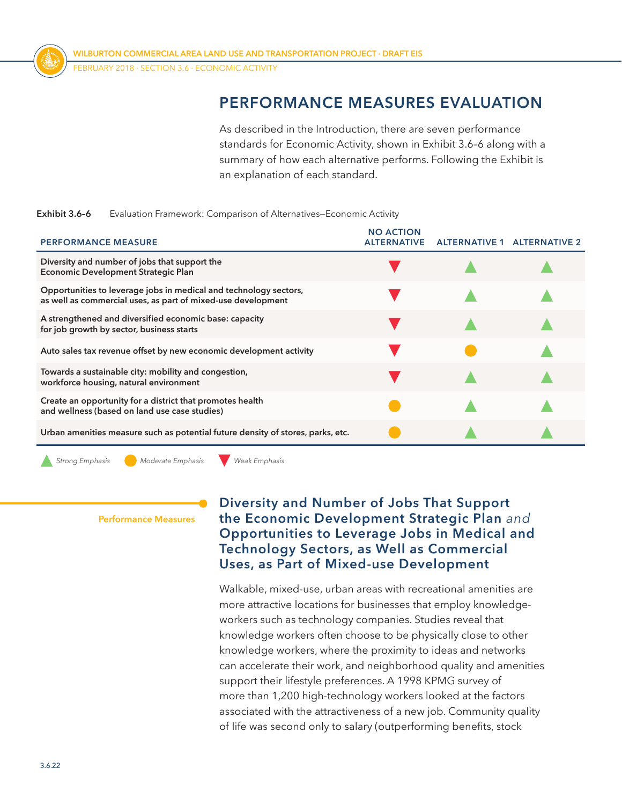

# **PERFORMANCE MEASURES EVALUATION**

<span id="page-21-0"></span>As described in the Introduction, there are seven performance standards for Economic Activity, shown in [Exhibit 3.6–6](#page-21-0) along with a summary of how each alternative performs. Following the Exhibit is an explanation of each standard.

#### **Exhibit 3.6–6** Evaluation Framework: Comparison of Alternatives—Economic Activity

| <b>PERFORMANCE MEASURE</b>                                                                                                        | <b>NO ACTION</b><br><b>ALTERNATIVE</b> | <b>ALTERNATIVE 1</b> | <b>ALTERNATIVE 2</b> |
|-----------------------------------------------------------------------------------------------------------------------------------|----------------------------------------|----------------------|----------------------|
| Diversity and number of jobs that support the<br><b>Economic Development Strategic Plan</b>                                       |                                        |                      |                      |
| Opportunities to leverage jobs in medical and technology sectors,<br>as well as commercial uses, as part of mixed-use development |                                        |                      |                      |
| A strengthened and diversified economic base: capacity<br>for job growth by sector, business starts                               |                                        |                      |                      |
| Auto sales tax revenue offset by new economic development activity                                                                |                                        |                      |                      |
| Towards a sustainable city: mobility and congestion,<br>workforce housing, natural environment                                    |                                        |                      |                      |
| Create an opportunity for a district that promotes health<br>and wellness (based on land use case studies)                        |                                        |                      |                      |
| Urban amenities measure such as potential future density of stores, parks, etc.                                                   |                                        |                      |                      |

*Strong Emphasis Moderate Emphasis Weak Emphasis*

**Performance Measures**

## **Diversity and Number of Jobs That Support the Economic Development Strategic Plan** *and* **Opportunities to Leverage Jobs in Medical and Technology Sectors, as Well as Commercial Uses, as Part of Mixed-use Development**

Walkable, mixed-use, urban areas with recreational amenities are more attractive locations for businesses that employ knowledgeworkers such as technology companies. Studies reveal that knowledge workers often choose to be physically close to other knowledge workers, where the proximity to ideas and networks can accelerate their work, and neighborhood quality and amenities support their lifestyle preferences. A 1998 KPMG survey of more than 1,200 high-technology workers looked at the factors associated with the attractiveness of a new job. Community quality of life was second only to salary (outperforming benefits, stock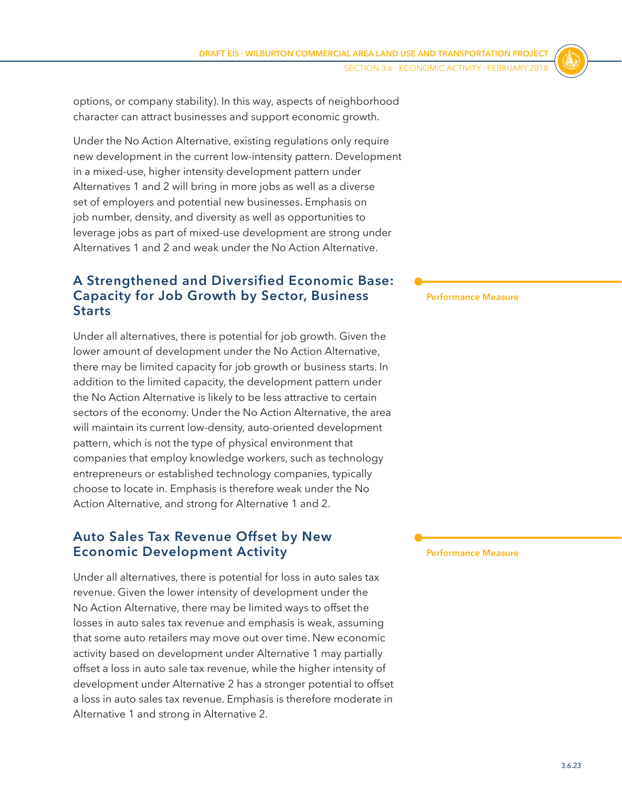options, or company stability). In this way, aspects of neighborhood character can attract businesses and support economic growth.

Under the No Action Alternative, existing regulations only require new development in the current low-intensity pattern. Development in a mixed-use, higher intensity development pattern under Alternatives 1 and 2 will bring in more jobs as well as a diverse set of employers and potential new businesses. Emphasis on job number, density, and diversity as well as opportunities to leverage jobs as part of mixed-use development are strong under Alternatives 1 and 2 and weak under the No Action Alternative.

# **A Strengthened and Diversified Economic Base: Capacity for Job Growth by Sector, Business Starts**

Under all alternatives, there is potential for job growth. Given the lower amount of development under the No Action Alternative, there may be limited capacity for job growth or business starts. In addition to the limited capacity, the development pattern under the No Action Alternative is likely to be less attractive to certain sectors of the economy. Under the No Action Alternative, the area will maintain its current low-density, auto-oriented development pattern, which is not the type of physical environment that companies that employ knowledge workers, such as technology entrepreneurs or established technology companies, typically choose to locate in. Emphasis is therefore weak under the No Action Alternative, and strong for Alternative 1 and 2.

## **Auto Sales Tax Revenue Offset by New Economic Development Activity**

Under all alternatives, there is potential for loss in auto sales tax revenue. Given the lower intensity of development under the No Action Alternative, there may be limited ways to offset the losses in auto sales tax revenue and emphasis is weak, assuming that some auto retailers may move out over time. New economic activity based on development under Alternative 1 may partially offset a loss in auto sale tax revenue, while the higher intensity of development under Alternative 2 has a stronger potential to offset a loss in auto sales tax revenue. Emphasis is therefore moderate in Alternative 1 and strong in Alternative 2.

**Performance Measure**

**Performance Measure**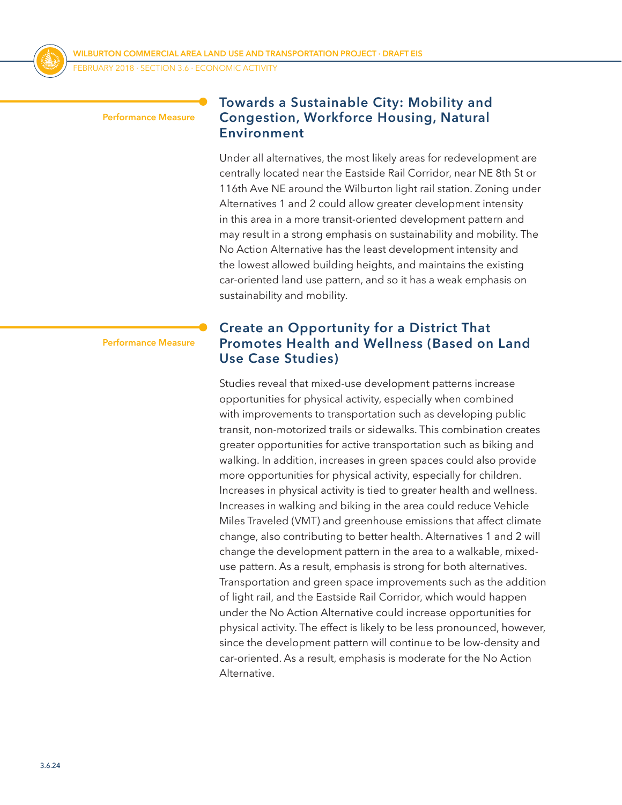

FEBRUARY 2018 ⋅ SECTION 3.6 ⋅ Economic Activity

#### **Performance Measure**

#### **Towards a Sustainable City: Mobility and Congestion, Workforce Housing, Natural Environment**

Under all alternatives, the most likely areas for redevelopment are centrally located near the Eastside Rail Corridor, near NE 8th St or 116th Ave NE around the Wilburton light rail station. Zoning under Alternatives 1 and 2 could allow greater development intensity in this area in a more transit-oriented development pattern and may result in a strong emphasis on sustainability and mobility. The No Action Alternative has the least development intensity and the lowest allowed building heights, and maintains the existing car-oriented land use pattern, and so it has a weak emphasis on sustainability and mobility.

**Performance Measure**

#### **Create an Opportunity for a District That Promotes Health and Wellness (Based on Land Use Case Studies)**

Studies reveal that mixed-use development patterns increase opportunities for physical activity, especially when combined with improvements to transportation such as developing public transit, non-motorized trails or sidewalks. This combination creates greater opportunities for active transportation such as biking and walking. In addition, increases in green spaces could also provide more opportunities for physical activity, especially for children. Increases in physical activity is tied to greater health and wellness. Increases in walking and biking in the area could reduce Vehicle Miles Traveled (VMT) and greenhouse emissions that affect climate change, also contributing to better health. Alternatives 1 and 2 will change the development pattern in the area to a walkable, mixeduse pattern. As a result, emphasis is strong for both alternatives. Transportation and green space improvements such as the addition of light rail, and the Eastside Rail Corridor, which would happen under the No Action Alternative could increase opportunities for physical activity. The effect is likely to be less pronounced, however, since the development pattern will continue to be low-density and car-oriented. As a result, emphasis is moderate for the No Action Alternative.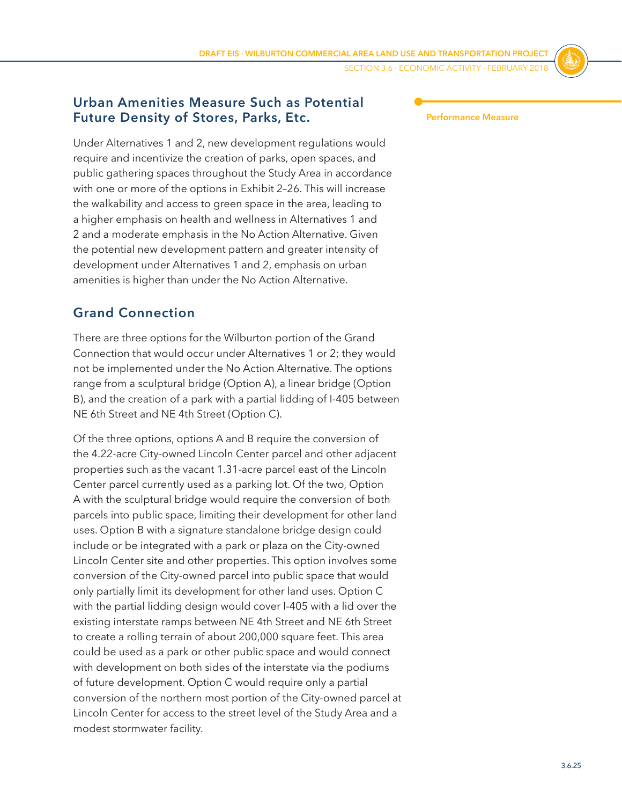SECTION 3.6 ⋅ Economic Activity ⋅ FEBRUARY 2018

## **Urban Amenities Measure Such as Potential Future Density of Stores, Parks, Etc.**

Under Alternatives 1 and 2, new development regulations would require and incentivize the creation of parks, open spaces, and public gathering spaces throughout the Study Area in accordance with one or more of the options in Exhibit 2–26. This will increase the walkability and access to green space in the area, leading to a higher emphasis on health and wellness in Alternatives 1 and 2 and a moderate emphasis in the No Action Alternative. Given the potential new development pattern and greater intensity of development under Alternatives 1 and 2, emphasis on urban amenities is higher than under the No Action Alternative.

# **Grand Connection**

There are three options for the Wilburton portion of the Grand Connection that would occur under Alternatives 1 or 2; they would not be implemented under the No Action Alternative. The options range from a sculptural bridge (Option A), a linear bridge (Option B), and the creation of a park with a partial lidding of I-405 between NE 6th Street and NE 4th Street (Option C).

Of the three options, options A and B require the conversion of the 4.22-acre City-owned Lincoln Center parcel and other adjacent properties such as the vacant 1.31-acre parcel east of the Lincoln Center parcel currently used as a parking lot. Of the two, Option A with the sculptural bridge would require the conversion of both parcels into public space, limiting their development for other land uses. Option B with a signature standalone bridge design could include or be integrated with a park or plaza on the City-owned Lincoln Center site and other properties. This option involves some conversion of the City-owned parcel into public space that would only partially limit its development for other land uses. Option C with the partial lidding design would cover I-405 with a lid over the existing interstate ramps between NE 4th Street and NE 6th Street to create a rolling terrain of about 200,000 square feet. This area could be used as a park or other public space and would connect with development on both sides of the interstate via the podiums of future development. Option C would require only a partial conversion of the northern most portion of the City-owned parcel at Lincoln Center for access to the street level of the Study Area and a modest stormwater facility.

**Performance Measure**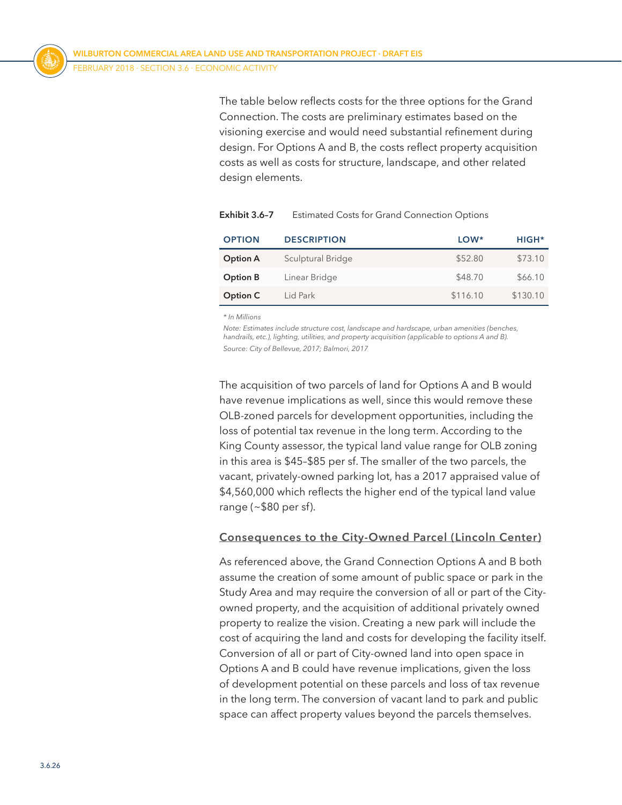The table below reflects costs for the three options for the Grand Connection. The costs are preliminary estimates based on the visioning exercise and would need substantial refinement during design. For Options A and B, the costs reflect property acquisition costs as well as costs for structure, landscape, and other related design elements.

| <b>OPTION</b>   | <b>DESCRIPTION</b> | LOW*     | HIGH <sup>*</sup> |
|-----------------|--------------------|----------|-------------------|
| <b>Option A</b> | Sculptural Bridge  | \$52.80  | \$73.10           |
| Option B        | Linear Bridge      | \$48.70  | \$66.10           |
| Option C        | Lid Park           | \$116.10 | \$130.10          |

| Exhibit 3.6-7 |  |  |  | <b>Estimated Costs for Grand Connection Options</b> |  |
|---------------|--|--|--|-----------------------------------------------------|--|
|---------------|--|--|--|-----------------------------------------------------|--|

*\* In Millions*

*Note: Estimates include structure cost, landscape and hardscape, urban amenities (benches, handrails, etc.), lighting, utilities, and property acquisition (applicable to options A and B). Source: City of Bellevue, 2017; Balmori, 2017*

The acquisition of two parcels of land for Options A and B would have revenue implications as well, since this would remove these OLB-zoned parcels for development opportunities, including the loss of potential tax revenue in the long term. According to the King County assessor, the typical land value range for OLB zoning in this area is \$45–\$85 per sf. The smaller of the two parcels, the vacant, privately-owned parking lot, has a 2017 appraised value of \$4,560,000 which reflects the higher end of the typical land value range (~\$80 per sf).

#### **Consequences to the City-Owned Parcel (Lincoln Center)**

As referenced above, the Grand Connection Options A and B both assume the creation of some amount of public space or park in the Study Area and may require the conversion of all or part of the Cityowned property, and the acquisition of additional privately owned property to realize the vision. Creating a new park will include the cost of acquiring the land and costs for developing the facility itself. Conversion of all or part of City-owned land into open space in Options A and B could have revenue implications, given the loss of development potential on these parcels and loss of tax revenue in the long term. The conversion of vacant land to park and public space can affect property values beyond the parcels themselves.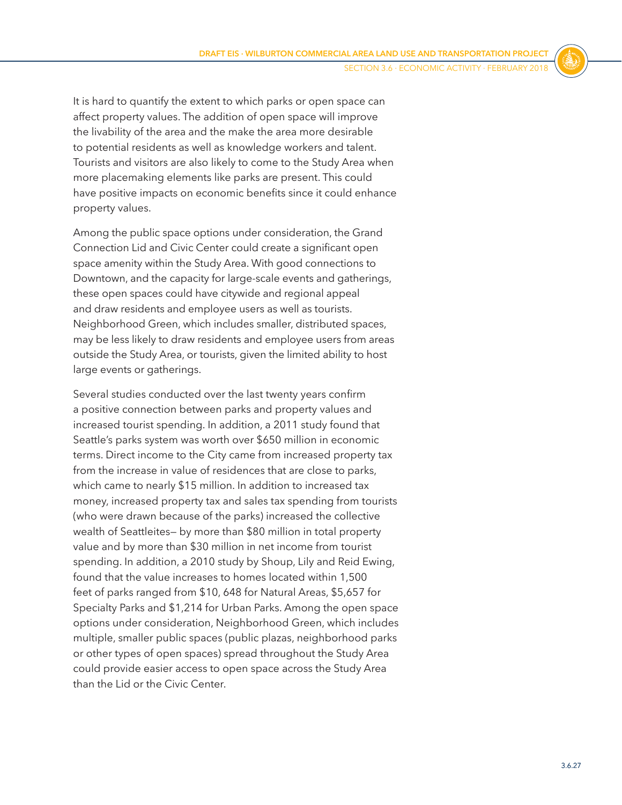It is hard to quantify the extent to which parks or open space can affect property values. The addition of open space will improve the livability of the area and the make the area more desirable to potential residents as well as knowledge workers and talent. Tourists and visitors are also likely to come to the Study Area when more placemaking elements like parks are present. This could have positive impacts on economic benefits since it could enhance property values.

Among the public space options under consideration, the Grand Connection Lid and Civic Center could create a significant open space amenity within the Study Area. With good connections to Downtown, and the capacity for large-scale events and gatherings, these open spaces could have citywide and regional appeal and draw residents and employee users as well as tourists. Neighborhood Green, which includes smaller, distributed spaces, may be less likely to draw residents and employee users from areas outside the Study Area, or tourists, given the limited ability to host large events or gatherings.

Several studies conducted over the last twenty years confirm a positive connection between parks and property values and increased tourist spending. In addition, a 2011 study found that Seattle's parks system was worth over \$650 million in economic terms. Direct income to the City came from increased property tax from the increase in value of residences that are close to parks, which came to nearly \$15 million. In addition to increased tax money, increased property tax and sales tax spending from tourists (who were drawn because of the parks) increased the collective wealth of Seattleites— by more than \$80 million in total property value and by more than \$30 million in net income from tourist spending. In addition, a 2010 study by Shoup, Lily and Reid Ewing, found that the value increases to homes located within 1,500 feet of parks ranged from \$10, 648 for Natural Areas, \$5,657 for Specialty Parks and \$1,214 for Urban Parks. Among the open space options under consideration, Neighborhood Green, which includes multiple, smaller public spaces (public plazas, neighborhood parks or other types of open spaces) spread throughout the Study Area could provide easier access to open space across the Study Area than the Lid or the Civic Center.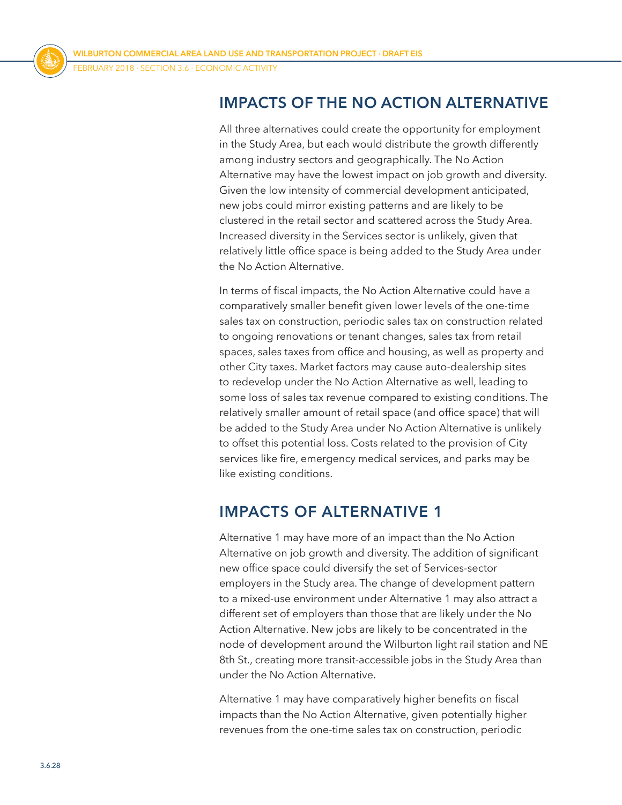# **IMPACTS OF THE NO ACTION ALTERNATIVE**

All three alternatives could create the opportunity for employment in the Study Area, but each would distribute the growth differently among industry sectors and geographically. The No Action Alternative may have the lowest impact on job growth and diversity. Given the low intensity of commercial development anticipated, new jobs could mirror existing patterns and are likely to be clustered in the retail sector and scattered across the Study Area. Increased diversity in the Services sector is unlikely, given that relatively little office space is being added to the Study Area under the No Action Alternative.

In terms of fiscal impacts, the No Action Alternative could have a comparatively smaller benefit given lower levels of the one-time sales tax on construction, periodic sales tax on construction related to ongoing renovations or tenant changes, sales tax from retail spaces, sales taxes from office and housing, as well as property and other City taxes. Market factors may cause auto-dealership sites to redevelop under the No Action Alternative as well, leading to some loss of sales tax revenue compared to existing conditions. The relatively smaller amount of retail space (and office space) that will be added to the Study Area under No Action Alternative is unlikely to offset this potential loss. Costs related to the provision of City services like fire, emergency medical services, and parks may be like existing conditions.

# **IMPACTS OF ALTERNATIVE 1**

Alternative 1 may have more of an impact than the No Action Alternative on job growth and diversity. The addition of significant new office space could diversify the set of Services-sector employers in the Study area. The change of development pattern to a mixed-use environment under Alternative 1 may also attract a different set of employers than those that are likely under the No Action Alternative. New jobs are likely to be concentrated in the node of development around the Wilburton light rail station and NE 8th St., creating more transit-accessible jobs in the Study Area than under the No Action Alternative.

Alternative 1 may have comparatively higher benefits on fiscal impacts than the No Action Alternative, given potentially higher revenues from the one-time sales tax on construction, periodic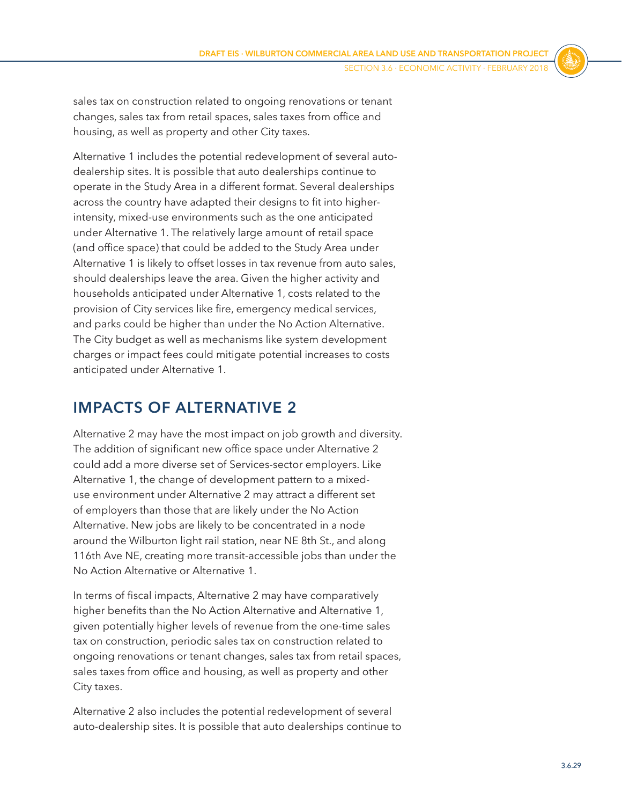sales tax on construction related to ongoing renovations or tenant changes, sales tax from retail spaces, sales taxes from office and housing, as well as property and other City taxes.

Alternative 1 includes the potential redevelopment of several autodealership sites. It is possible that auto dealerships continue to operate in the Study Area in a different format. Several dealerships across the country have adapted their designs to fit into higherintensity, mixed-use environments such as the one anticipated under Alternative 1. The relatively large amount of retail space (and office space) that could be added to the Study Area under Alternative 1 is likely to offset losses in tax revenue from auto sales, should dealerships leave the area. Given the higher activity and households anticipated under Alternative 1, costs related to the provision of City services like fire, emergency medical services, and parks could be higher than under the No Action Alternative. The City budget as well as mechanisms like system development charges or impact fees could mitigate potential increases to costs anticipated under Alternative 1.

# **IMPACTS OF ALTERNATIVE 2**

Alternative 2 may have the most impact on job growth and diversity. The addition of significant new office space under Alternative 2 could add a more diverse set of Services-sector employers. Like Alternative 1, the change of development pattern to a mixeduse environment under Alternative 2 may attract a different set of employers than those that are likely under the No Action Alternative. New jobs are likely to be concentrated in a node around the Wilburton light rail station, near NE 8th St., and along 116th Ave NE, creating more transit-accessible jobs than under the No Action Alternative or Alternative 1.

In terms of fiscal impacts, Alternative 2 may have comparatively higher benefits than the No Action Alternative and Alternative 1, given potentially higher levels of revenue from the one-time sales tax on construction, periodic sales tax on construction related to ongoing renovations or tenant changes, sales tax from retail spaces, sales taxes from office and housing, as well as property and other City taxes.

Alternative 2 also includes the potential redevelopment of several auto-dealership sites. It is possible that auto dealerships continue to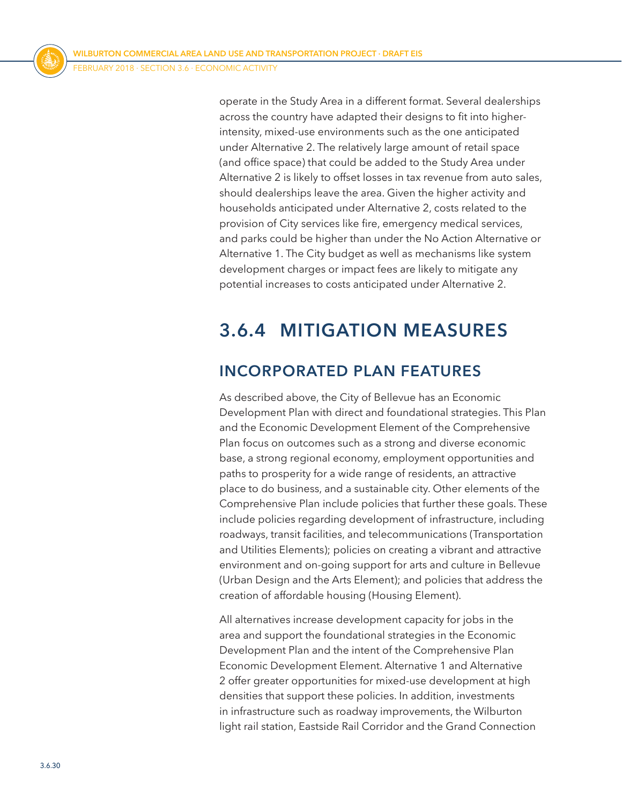operate in the Study Area in a different format. Several dealerships across the country have adapted their designs to fit into higherintensity, mixed-use environments such as the one anticipated under Alternative 2. The relatively large amount of retail space (and office space) that could be added to the Study Area under Alternative 2 is likely to offset losses in tax revenue from auto sales, should dealerships leave the area. Given the higher activity and households anticipated under Alternative 2, costs related to the provision of City services like fire, emergency medical services, and parks could be higher than under the No Action Alternative or Alternative 1. The City budget as well as mechanisms like system development charges or impact fees are likely to mitigate any potential increases to costs anticipated under Alternative 2.

# **3.6.4 MITIGATION MEASURES**

# **INCORPORATED PLAN FEATURES**

As described above, the City of Bellevue has an Economic Development Plan with direct and foundational strategies. This Plan and the Economic Development Element of the Comprehensive Plan focus on outcomes such as a strong and diverse economic base, a strong regional economy, employment opportunities and paths to prosperity for a wide range of residents, an attractive place to do business, and a sustainable city. Other elements of the Comprehensive Plan include policies that further these goals. These include policies regarding development of infrastructure, including roadways, transit facilities, and telecommunications (Transportation and Utilities Elements); policies on creating a vibrant and attractive environment and on-going support for arts and culture in Bellevue (Urban Design and the Arts Element); and policies that address the creation of affordable housing (Housing Element).

All alternatives increase development capacity for jobs in the area and support the foundational strategies in the Economic Development Plan and the intent of the Comprehensive Plan Economic Development Element. Alternative 1 and Alternative 2 offer greater opportunities for mixed-use development at high densities that support these policies. In addition, investments in infrastructure such as roadway improvements, the Wilburton light rail station, Eastside Rail Corridor and the Grand Connection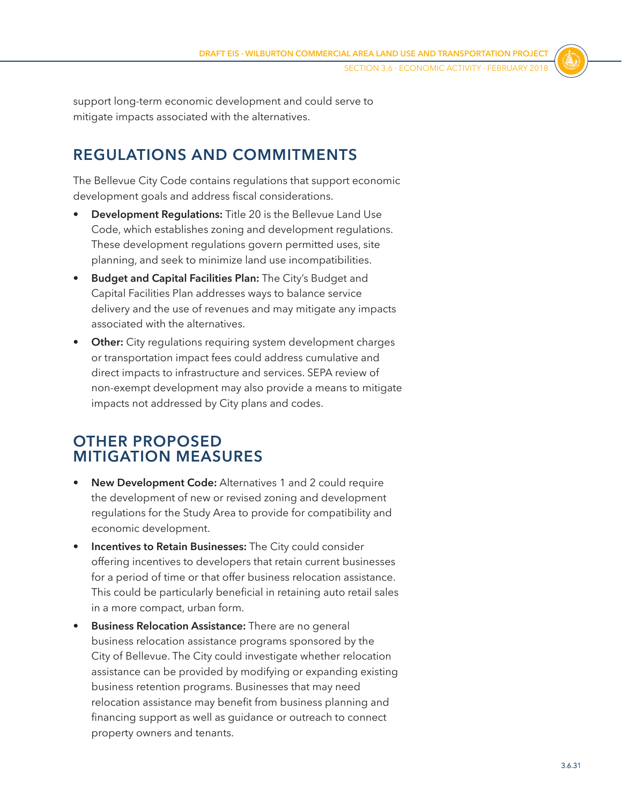support long-term economic development and could serve to mitigate impacts associated with the alternatives.

# **REGULATIONS AND COMMITMENTS**

The Bellevue City Code contains regulations that support economic development goals and address fiscal considerations.

- **Development Regulations:** Title 20 is the Bellevue Land Use Code, which establishes zoning and development regulations. These development regulations govern permitted uses, site planning, and seek to minimize land use incompatibilities.
- **Budget and Capital Facilities Plan:** The City's Budget and Capital Facilities Plan addresses ways to balance service delivery and the use of revenues and may mitigate any impacts associated with the alternatives.
- **Other:** City regulations requiring system development charges or transportation impact fees could address cumulative and direct impacts to infrastructure and services. SEPA review of non-exempt development may also provide a means to mitigate impacts not addressed by City plans and codes.

# **OTHER PROPOSED MITIGATION MEASURES**

- **New Development Code:** Alternatives 1 and 2 could require the development of new or revised zoning and development regulations for the Study Area to provide for compatibility and economic development.
- **Incentives to Retain Businesses:** The City could consider offering incentives to developers that retain current businesses for a period of time or that offer business relocation assistance. This could be particularly beneficial in retaining auto retail sales in a more compact, urban form.
- **Business Relocation Assistance:** There are no general business relocation assistance programs sponsored by the City of Bellevue. The City could investigate whether relocation assistance can be provided by modifying or expanding existing business retention programs. Businesses that may need relocation assistance may benefit from business planning and financing support as well as guidance or outreach to connect property owners and tenants.